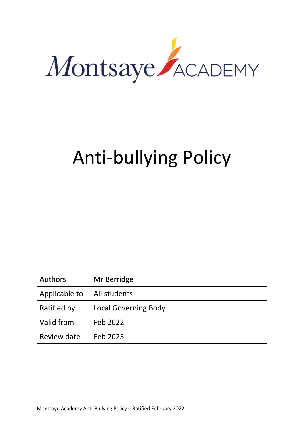

# Anti-bullying Policy

| Authors       | Mr Berridge                 |
|---------------|-----------------------------|
| Applicable to | All students                |
| Ratified by   | <b>Local Governing Body</b> |
| Valid from    | Feb 2022                    |
| Review date   | Feb 2025                    |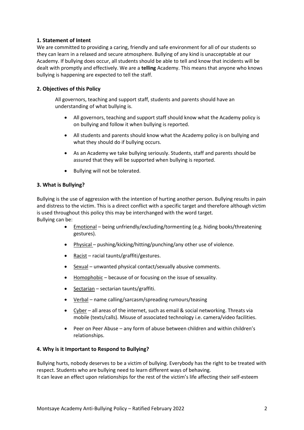## **1. Statement of Intent**

We are committed to providing a caring, friendly and safe environment for all of our students so they can learn in a relaxed and secure atmosphere. Bullying of any kind is unacceptable at our Academy. If bullying does occur, all students should be able to tell and know that incidents will be dealt with promptly and effectively. We are a **telling** Academy. This means that anyone who knows bullying is happening are expected to tell the staff.

## **2. Objectives of this Policy**

All governors, teaching and support staff, students and parents should have an understanding of what bullying is.

- All governors, teaching and support staff should know what the Academy policy is on bullying and follow it when bullying is reported.
- All students and parents should know what the Academy policy is on bullying and what they should do if bullying occurs.
- As an Academy we take bullying seriously. Students, staff and parents should be assured that they will be supported when bullying is reported.
- Bullying will not be tolerated.

#### **3. What is Bullying?**

Bullying is the use of aggression with the intention of hurting another person. Bullying results in pain and distress to the victim. This is a direct conflict with a specific target and therefore although victim is used throughout this policy this may be interchanged with the word target. Bullying can be:

- Emotional being unfriendly/excluding/tormenting (e.g. hiding books/threatening gestures).
- Physical pushing/kicking/hitting/punching/any other use of violence.
- Racist racial taunts/graffiti/gestures.
- Sexual unwanted physical contact/sexually abusive comments.
- Homophobic because of or focusing on the issue of sexuality.
- Sectarian sectarian taunts/graffiti.
- Verbal name calling/sarcasm/spreading rumours/teasing
- Cyber all areas of the internet, such as email & social networking. Threats via mobile (texts/calls). Misuse of associated technology i.e. camera/video facilities.
- Peer on Peer Abuse any form of abuse between children and within children's relationships.

#### **4. Why is it Important to Respond to Bullying?**

Bullying hurts, nobody deserves to be a victim of bullying. Everybody has the right to be treated with respect. Students who are bullying need to learn different ways of behaving. It can leave an effect upon relationships for the rest of the victim's life affecting their self-esteem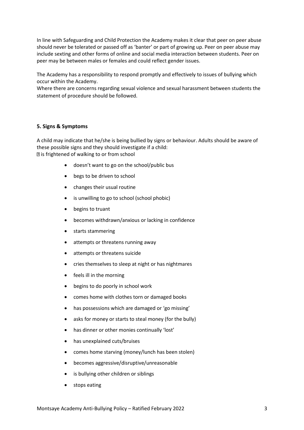In line with Safeguarding and Child Protection the Academy makes it clear that peer on peer abuse should never be tolerated or passed off as 'banter' or part of growing up. Peer on peer abuse may include sexting and other forms of online and social media interaction between students. Peer on peer may be between males or females and could reflect gender issues.

The Academy has a responsibility to respond promptly and effectively to issues of bullying which occur within the Academy.

Where there are concerns regarding sexual violence and sexual harassment between students the statement of procedure should be followed.

#### **5. Signs & Symptoms**

A child may indicate that he/she is being bullied by signs or behaviour. Adults should be aware of these possible signs and they should investigate if a child: **Data:** is frightened of walking to or from school

- doesn't want to go on the school/public bus
- begs to be driven to school
- changes their usual routine
- is unwilling to go to school (school phobic)
- begins to truant
- becomes withdrawn/anxious or lacking in confidence
- starts stammering
- attempts or threatens running away
- attempts or threatens suicide
- cries themselves to sleep at night or has nightmares
- feels ill in the morning
- begins to do poorly in school work
- comes home with clothes torn or damaged books
- has possessions which are damaged or 'go missing'
- asks for money or starts to steal money (for the bully)
- has dinner or other monies continually 'lost'
- has unexplained cuts/bruises
- comes home starving (money/lunch has been stolen)
- becomes aggressive/disruptive/unreasonable
- is bullying other children or siblings
- stops eating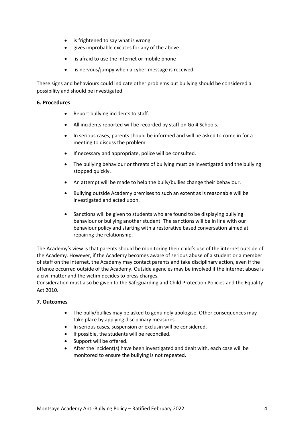- is frightened to say what is wrong
- gives improbable excuses for any of the above
- is afraid to use the internet or mobile phone
- is nervous/jumpy when a cyber-message is received

These signs and behaviours could indicate other problems but bullying should be considered a possibility and should be investigated.

#### **6. Procedures**

- Report bullying incidents to staff.
- All incidents reported will be recorded by staff on Go 4 Schools.
- In serious cases, parents should be informed and will be asked to come in for a meeting to discuss the problem.
- If necessary and appropriate, police will be consulted.
- The bullying behaviour or threats of bullying must be investigated and the bullying stopped quickly.
- An attempt will be made to help the bully/bullies change their behaviour.
- Bullying outside Academy premises to such an extent as is reasonable will be investigated and acted upon.
- Sanctions will be given to students who are found to be displaying bullying behaviour or bullying another student. The sanctions will be in line with our behaviour policy and starting with a restorative based conversation aimed at repairing the relationship.

The Academy's view is that parents should be monitoring their child's use of the internet outside of the Academy. However, if the Academy becomes aware of serious abuse of a student or a member of staff on the internet, the Academy may contact parents and take disciplinary action, even if the offence occurred outside of the Academy. Outside agencies may be involved if the internet abuse is a civil matter and the victim decides to press charges.

Consideration must also be given to the Safeguarding and Child Protection Policies and the Equality Act 2010.

#### **7. Outcomes**

- The bully/bullies may be asked to genuinely apologise. Other consequences may take place by applying disciplinary measures.
- In serious cases, suspension or exclusin will be considered.
- If possible, the students will be reconciled.
- Support will be offered.
- After the incident(s) have been investigated and dealt with, each case will be monitored to ensure the bullying is not repeated.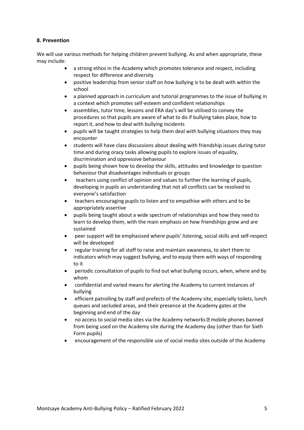## **8. Prevention**

We will use various methods for helping children prevent bullying. As and when appropriate, these may include:

- a strong ethos in the Academy which promotes tolerance and respect, including respect for difference and diversity
- positive leadership from senior staff on how bullying is to be dealt with within the school
- a planned approach in curriculum and tutorial programmes to the issue of bullying in a context which promotes self-esteem and confident relationships
- assemblies, tutor time, lessons and ERA day's will be utilised to convey the procedures so that pupils are aware of what to do if bullying takes place, how to report it, and how to deal with bullying incidents
- pupils will be taught strategies to help them deal with bullying situations they may encounter
- students will have class discussions about dealing with friendship issues during tutor time and during oracy tasks allowing pupils to explore issues of equality, discrimination and oppressive behaviour
- pupils being shown how to develop the skills, attitudes and knowledge to question behaviour that disadvantages individuals or groups
- teachers using conflict of opinion and values to further the learning of pupils, developing in pupils an understanding that not all conflicts can be resolved to everyone's satisfaction
- teachers encouraging pupils to listen and to empathise with others and to be appropriately assertive
- pupils being taught about a wide spectrum of relationships and how they need to learn to develop them, with the main emphasis on how friendships grow and are sustained
- peer support will be emphasised where pupils' listening, social skills and self-respect will be developed
- regular training for all staff to raise and maintain awareness, to alert them to indicators which may suggest bullying, and to equip them with ways of responding to it
- periodic consultation of pupils to find out what bullying occurs, when, where and by whom
- confidential and varied means for alerting the Academy to current instances of bullying
- efficient patrolling by staff and prefects of the Academy site, especially toilets, lunch queues and secluded areas, and their presence at the Academy gates at the beginning and end of the day
- no access to social media sites via the Academy networks  $\mathbb B$  mobile phones banned from being used on the Academy site during the Academy day (other than for Sixth Form pupils)
- encouragement of the responsible use of social media sites outside of the Academy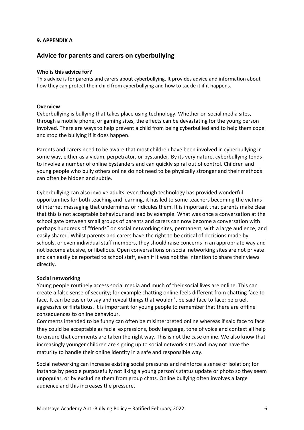## **9. APPENDIX A**

# **Advice for parents and carers on cyberbullying**

## **Who is this advice for?**

This advice is for parents and carers about cyberbullying. It provides advice and information about how they can protect their child from cyberbullying and how to tackle it if it happens.

## **Overview**

Cyberbullying is bullying that takes place using technology. Whether on social media sites, through a mobile phone, or gaming sites, the effects can be devastating for the young person involved. There are ways to help prevent a child from being cyberbullied and to help them cope and stop the bullying if it does happen.

Parents and carers need to be aware that most children have been involved in cyberbullying in some way, either as a victim, perpetrator, or bystander. By its very nature, cyberbullying tends to involve a number of online bystanders and can quickly spiral out of control. Children and young people who bully others online do not need to be physically stronger and their methods can often be hidden and subtle.

Cyberbullying can also involve adults; even though technology has provided wonderful opportunities for both teaching and learning, it has led to some teachers becoming the victims of internet messaging that undermines or ridicules them. It is important that parents make clear that this is not acceptable behaviour and lead by example. What was once a conversation at the school gate between small groups of parents and carers can now become a conversation with perhaps hundreds of "friends" on social networking sites, permanent, with a large audience, and easily shared. Whilst parents and carers have the right to be critical of decisions made by schools, or even individual staff members, they should raise concerns in an appropriate way and not become abusive, or libellous. Open conversations on social networking sites are not private and can easily be reported to school staff, even if it was not the intention to share their views directly.

#### **Social networking**

Young people routinely access social media and much of their social lives are online. This can create a false sense of security; for example chatting online feels different from chatting face to face. It can be easier to say and reveal things that wouldn't be said face to face; be cruel, aggressive or flirtatious. It is important for young people to remember that there are offline consequences to online behaviour.

Comments intended to be funny can often be misinterpreted online whereas if said face to face they could be acceptable as facial expressions, body language, tone of voice and context all help to ensure that comments are taken the right way. This is not the case online. We also know that increasingly younger children are signing up to social network sites and may not have the maturity to handle their online identity in a safe and responsible way.

Social networking can increase existing social pressures and reinforce a sense of isolation; for instance by people purposefully not liking a young person's status update or photo so they seem unpopular, or by excluding them from group chats. Online bullying often involves a large audience and this increases the pressure.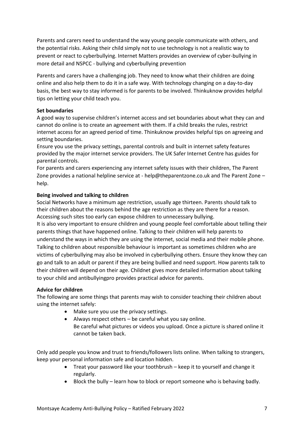Parents and carers need to understand the way young people communicate with others, and the potential risks. Asking their child simply not to use technology is not a realistic way to prevent or react to cyberbullying. Internet Matters provides an overview of cyber-bullying in more detail and NSPCC - bullying and cyberbullying prevention

Parents and carers have a challenging job. They need to know what their children are doing online and also help them to do it in a safe way. With technology changing on a day-to-day basis, the best way to stay informed is for parents to be involved. Thinkuknow provides helpful tips on letting your child teach you.

## **Set boundaries**

A good way to supervise children's internet access and set boundaries about what they can and cannot do online is to create an agreement with them. If a child breaks the rules, restrict internet access for an agreed period of time. Thinkuknow provides helpful tips on agreeing and setting boundaries.

Ensure you use the privacy settings, parental controls and built in internet safety features provided by the major internet service providers. The UK Safer Internet Centre has guides for parental controls.

For parents and carers experiencing any internet safety issues with their children, The Parent Zone provides a national helpline service at - help@theparentzone.co.uk and The Parent Zone – help.

## **Being involved and talking to children**

Social Networks have a minimum age restriction, usually age thirteen. Parents should talk to their children about the reasons behind the age restriction as they are there for a reason. Accessing such sites too early can expose children to unnecessary bullying.

It is also very important to ensure children and young people feel comfortable about telling their parents things that have happened online. Talking to their children will help parents to understand the ways in which they are using the internet, social media and their mobile phone. Talking to children about responsible behaviour is important as sometimes children who are victims of cyberbullying may also be involved in cyberbullying others. Ensure they know they can go and talk to an adult or parent if they are being bullied and need support. How parents talk to their children will depend on their age. Childnet gives more detailed information about talking to your child and antibullyingpro provides practical advice for parents.

## **Advice for children**

The following are some things that parents may wish to consider teaching their children about using the internet safely:

- Make sure you use the privacy settings.
- Always respect others be careful what you say online. Be careful what pictures or videos you upload. Once a picture is shared online it cannot be taken back.

Only add people you know and trust to friends/followers lists online. When talking to strangers, keep your personal information safe and location hidden.

- Treat your password like your toothbrush keep it to yourself and change it regularly.
- Block the bully learn how to block or report someone who is behaving badly.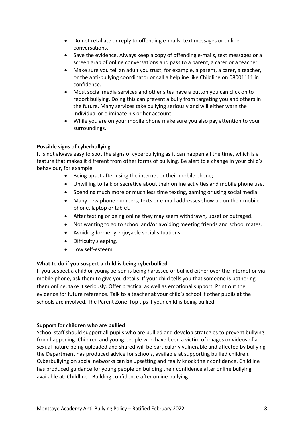- Do not retaliate or reply to offending e-mails, text messages or online conversations.
- Save the evidence. Always keep a copy of offending e-mails, text messages or a screen grab of online conversations and pass to a parent, a carer or a teacher.
- Make sure you tell an adult you trust, for example, a parent, a carer, a teacher, or the anti-bullying coordinator or call a helpline like Childline on 08001111 in confidence.
- Most social media services and other sites have a button you can click on to report bullying. Doing this can prevent a bully from targeting you and others in the future. Many services take bullying seriously and will either warn the individual or eliminate his or her account.
- While you are on your mobile phone make sure you also pay attention to your surroundings.

## **Possible signs of cyberbullying**

It is not always easy to spot the signs of cyberbullying as it can happen all the time, which is a feature that makes it different from other forms of bullying. Be alert to a change in your child's behaviour, for example:

- Being upset after using the internet or their mobile phone;
- Unwilling to talk or secretive about their online activities and mobile phone use.
- Spending much more or much less time texting, gaming or using social media.
- Many new phone numbers, texts or e-mail addresses show up on their mobile phone, laptop or tablet.
- After texting or being online they may seem withdrawn, upset or outraged.
- Not wanting to go to school and/or avoiding meeting friends and school mates.
- Avoiding formerly enjoyable social situations.
- Difficulty sleeping.
- Low self-esteem.

## **What to do if you suspect a child is being cyberbullied**

If you suspect a child or young person is being harassed or bullied either over the internet or via mobile phone, ask them to give you details. If your child tells you that someone is bothering them online, take it seriously. Offer practical as well as emotional support. Print out the evidence for future reference. Talk to a teacher at your child's school if other pupils at the schools are involved. The Parent Zone-Top tips if your child is being bullied.

## **Support for children who are bullied**

School staff should support all pupils who are bullied and develop strategies to prevent bullying from happening. Children and young people who have been a victim of images or videos of a sexual nature being uploaded and shared will be particularly vulnerable and affected by bullying the Department has produced advice for schools, available at supporting bullied children. Cyberbullying on social networks can be upsetting and really knock their confidence. Childline has produced guidance for young people on building their confidence after online bullying available at: Childline - Building confidence after online bullying.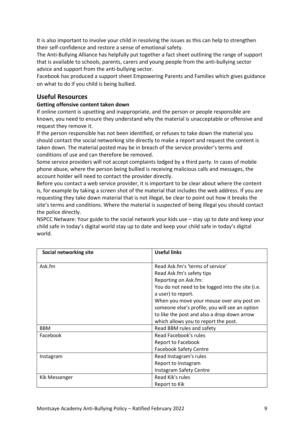It is also important to involve your child in resolving the issues as this can help to strengthen their self-confidence and restore a sense of emotional safety.

The Anti-Bullying Alliance has helpfully put together a fact sheet outlining the range of support that is available to schools, parents, carers and young people from the anti-bullying sector advice and support from the anti-bullying sector.

Facebook has produced a support sheet Empowering Parents and Families which gives guidance on what to do if you child is being bullied.

## **Useful Resources**

## **Getting offensive content taken down**

If online content is upsetting and inappropriate, and the person or people responsible are known, you need to ensure they understand why the material is unacceptable or offensive and request they remove it.

If the person responsible has not been identified, or refuses to take down the material you should contact the social networking site directly to make a report and request the content is taken down. The material posted may be in breach of the service provider's terms and conditions of use and can therefore be removed.

Some service providers will not accept complaints lodged by a third party. In cases of mobile phone abuse, where the person being bullied is receiving malicious calls and messages, the account holder will need to contact the provider directly.

Before you contact a web service provider, it is important to be clear about where the content is, for example by taking a screen shot of the material that includes the web address. If you are requesting they take down material that is not illegal, be clear to point out how it breaks the site's terms and conditions. Where the material is suspected of being illegal you should contact the police directly.

NSPCC Netware: Your guide to the social network your kids use – stay up to date and keep your child safe in today's digital world stay up to date and keep your child safe in today's digital world.

| Social networking site | <b>Useful links</b>                              |  |
|------------------------|--------------------------------------------------|--|
| Ask.fm                 | Read Ask.fm's 'terms of service'                 |  |
|                        | Read Ask.fm's safety tips                        |  |
|                        | Reporting on Ask.fm:                             |  |
|                        | You do not need to be logged into the site (i.e. |  |
|                        | a user) to report.                               |  |
|                        | When you move your mouse over any post on        |  |
|                        | someone else's profile, you will see an option   |  |
|                        | to like the post and also a drop down arrow      |  |
|                        | which allows you to report the post.             |  |
| <b>BBM</b>             | Read BBM rules and safety                        |  |
| Facebook               | Read Facebook's rules                            |  |
|                        | <b>Report to Facebook</b>                        |  |
|                        | <b>Facebook Safety Centre</b>                    |  |
| Instagram              | Read Instagram's rules                           |  |
|                        | Report to Instagram                              |  |
|                        | <b>Instagram Safety Centre</b>                   |  |
| Kik Messenger          | Read Kik's rules                                 |  |
|                        | Report to Kik                                    |  |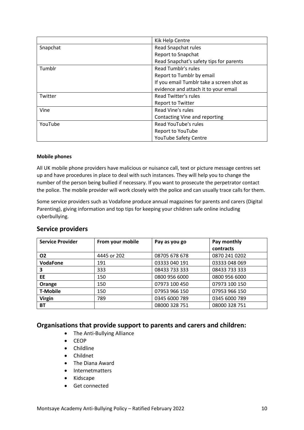|          | Kik Help Centre                           |  |
|----------|-------------------------------------------|--|
| Snapchat | Read Snapchat rules                       |  |
|          | <b>Report to Snapchat</b>                 |  |
|          | Read Snapchat's safety tips for parents   |  |
| Tumblr   | <b>Read Tumblr's rules</b>                |  |
|          | Report to Tumblr by email                 |  |
|          | If you email Tumblr take a screen shot as |  |
|          | evidence and attach it to your email      |  |
| Twitter  | <b>Read Twitter's rules</b>               |  |
|          | Report to Twitter                         |  |
| Vine     | Read Vine's rules                         |  |
|          | Contacting Vine and reporting             |  |
| YouTube  | Read YouTube's rules                      |  |
|          | <b>Report to YouTube</b>                  |  |
|          | <b>YouTube Safety Centre</b>              |  |

#### **Mobile phones**

All UK mobile phone providers have malicious or nuisance call, text or picture message centres set up and have procedures in place to deal with such instances. They will help you to change the number of the person being bullied if necessary. If you want to prosecute the perpetrator contact the police. The mobile provider will work closely with the police and can usually trace calls for them.

Some service providers such as Vodafone produce annual magazines for parents and carers (Digital Parenting), giving information and top tips for keeping your children safe online including cyberbullying.

| <b>Service Provider</b> | From your mobile | Pay as you go | Pay monthly   |
|-------------------------|------------------|---------------|---------------|
|                         |                  |               | contracts     |
| 02                      | 4445 or 202      | 08705 678 678 | 0870 241 0202 |
| <b>VodaFone</b>         | 191              | 03333 040 191 | 03333 048 069 |
| 3                       | 333              | 08433 733 333 | 08433 733 333 |
| EE.                     | 150              | 0800 956 6000 | 0800 956 6000 |
| Orange                  | 150              | 07973 100 450 | 07973 100 150 |
| <b>T-Mobile</b>         | 150              | 07953 966 150 | 07953 966 150 |
| <b>Virgin</b>           | 789              | 0345 6000 789 | 0345 6000 789 |
| <b>BT</b>               |                  | 08000 328 751 | 08000 328 751 |

## **Service providers**

## **Organisations that provide support to parents and carers and children:**

- The Anti-Bullying Alliance
- CEOP
- Childline
- Childnet
- The Diana Award
- Internetmatters
- Kidscape
- Get connected